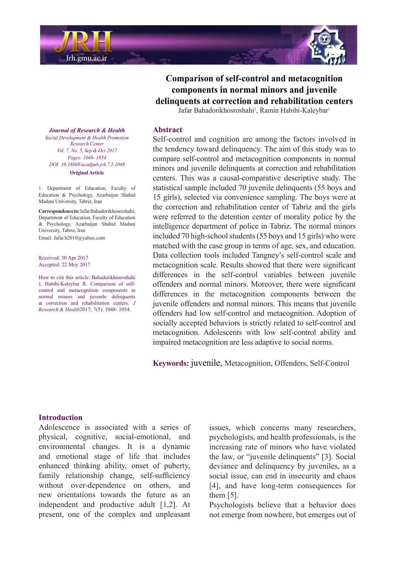

# **Comparison of self-control and metacognition** components in normal minors and juvenile **delinquents at correction and rehabilitation centers**

Jafar Bahadorikhosroshahi<sup>1</sup>, Ramin Habibi-Kaleybar<sup>1</sup>

#### **Abstract**

Self-control and cognition are among the factors involved in the tendency toward delinguency. The aim of this study was to compare self-control and metacognition components in normal minors and juvenile delinquents at correction and rehabilitation centers. This was a causal-comparative descriptive study. The statistical sample included 70 juvenile delinquents (55 boys and 15 girls), selected via convenience sampling. The boys were at the correction and rehabilitation center of Tabriz and the girls were referred to the detention center of morality police by the intelligence department of police in Tabriz. The normal minors included 70 high-school students (55 boys and 15 girls) who were matched with the case group in terms of age, sex, and education. Data collection tools included Tangney's self-control scale and metacognition scale. Results showed that there were significant differences in the self-control variables between juvenile offenders and normal minors. Moreover, there were significant differences in the metacognition components between the juvenile offenders and normal minors. This means that juvenile offenders had low self-control and metacognition. Adoption of socially accepted behaviors is strictly related to self-control and metacognition. Adolescents with low self-control ability and impaired metacognition are less adaptive to social norms.

Keywords: juvenile, Metacognition, Offenders, Self-Control

#### *Journal of Research & Health Promotion Health & Development Social Center Research Vol. 7, No. 5, Sep & Oct 2017* Pages: 1048- 1054 *DOI*: 10.18869/ acadpub.jrh.7.5.1048 **Original** Article

1. Department of Education, Faculty of Education & Psychology, Azarbaijan Shahid Madani University, Tabriz, Iran

 $Correspondence to: Jafar Bahadorikhosroshahi.$ Department of Education, Faculty of Education & Psychology, Azarbaijan Shahid Madani University, Tabriz, Iran Email: Jafar.b2010@vahoo.com

Received: 30 Apr 2017 Accepted: 22 Mey 2017

How to cite this article: Bahadorikhosroshahi control and metacognition components in J. Habibi-Kaleybar R. Comparison of selfnormal minors and juvenile delinquents at correction and rehabilitation centers. J Research & Health 2017; 7(5): 1048-1054.

#### **Introduction**

Adolescence is associated with a series of physical, cognitive, social-emotional, and environmental changes. It is a dynamic and emotional stage of life that includes enhanced thinking ability, onset of puberty, family relationship change, self-sufficiency without over-dependence on others, and new orientations towards the future as an independent and productive adult  $[1,2]$ . At present, one of the complex and unpleasant

issues, which concerns many researchers, psychologists, and health professionals, is the increasing rate of minors who have violated the law, or "juvenile delinquents" [3]. Social deviance and delinquency by juveniles, as a social issue, can end in insecurity and chaos [4], and have long-term consequences for them  $[5]$ .

Psychologists believe that a behavior does not emerge from nowhere, but emerges out of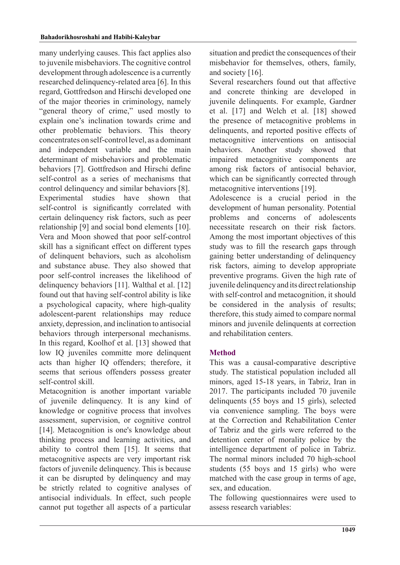many underlying causes. This fact applies also to juvenile misbehaviors. The cognitive control development through adolescence is a currently researched delinquency-related area [6]. In this regard, Gottfredson and Hirschi developed one of the major theories in criminology, namely " general theory of crime," used mostly to explain one's inclination towards crime and other problematic behaviors. This theory concentrates on self-control level, as a dominant and independent variable and the main determinant of misbehaviors and problematic behaviors [7]. Gottfredson and Hirschi define self-control as a series of mechanisms that control delinquency and similar behaviors [8]. Experimental studies have shown that self-control is significantly correlated with certain delinquency risk factors, such as peer relationship  $[9]$  and social bond elements  $[10]$ . Vera and Moon showed that poor self-control skill has a significant effect on different types of delinquent behaviors, such as alcoholism and substance abuse. They also showed that poor self-control increases the likelihood of delinguency behaviors  $[11]$ . Walthal et al.  $[12]$ found out that having self-control ability is like a psychological capacity, where high-quality adolescent-parent relationships may reduce anxiety, depression, and inclination to antisocial behaviors through interpersonal mechanisms. In this regard, Koolhof et al.  $[13]$  showed that low IQ juveniles committe more delinquent acts than higher IQ offenders; therefore, it seems that serious offenders possess greater self-control skill.

Metacognition is another important variable of juvenile delinquency. It is any kind of knowledge or cognitive process that involves assessment, supervision, or cognitive control [14]. Metacognition is one's knowledge about thinking process and learning activities, and ability to control them  $[15]$ . It seems that metacognitive aspects are very important risk factors of juvenile delinquency. This is because it can be disrupted by delinquency and may be strictly related to cognitive analyses of  $antisocial$  individuals. In effect, such people cannot put together all aspects of a particular

situation and predict the consequences of their misbehavior for themselves, others, family, and society [16].

Several researchers found out that affective and concrete thinking are developed in juvenile delinquents. For example, Gardner et al. [17] and Welch et al. [18] showed the presence of metacognitive problems in delinquents, and reported positive effects of metacognitive interventions on antisocial behaviors. Another study showed that impaired metacognitive components are among risk factors of antisocial behavior, which can be significantly corrected through metacognitive interventions [19].

Adolescence is a crucial period in the development of human personality. Potential problems and concerns of adolescents necessitate research on their risk factors. Among the most important objectives of this study was to fill the research gaps through gaining better understanding of delinquency risk factors, aiming to develop appropriate preventive programs. Given the high rate of juvenile delinquency and its direct relationship with self-control and metacognition, it should be considered in the analysis of results; therefore, this study aimed to compare normal minors and juvenile delinquents at correction and rehabilitation centers.

# **Method**

This was a causal-comparative descriptive study. The statistical population included all minors, aged 15-18 vears, in Tabriz, Iran in 2017. The participants included 70 juvenile delinquents  $(55$  boys and 15 girls), selected via convenience sampling. The boys were at the Correction and Rehabilitation Center of Tabriz and the girls were referred to the detention center of morality police by the intelligence department of police in Tabriz. The normal minors included 70 high-school students  $(55$  boys and  $15$  girls) who were matched with the case group in terms of age, sex, and education.

The following questionnaires were used to assess research variables: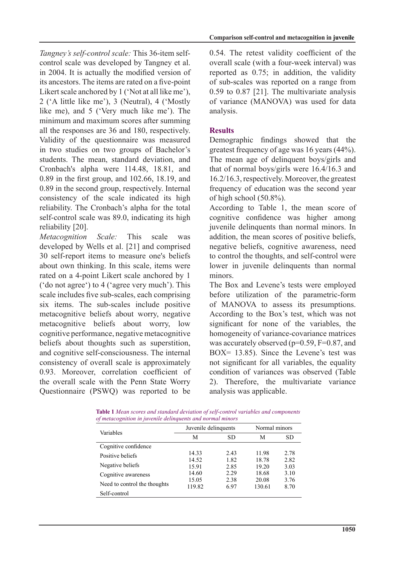control scale was developed by Tangney et al. Tangney's self-control scale: This 36-item selfin 2004. It is actually the modified version of its ancestors. The items are rated on a five-point Likert scale anchored by  $1$  ('Not at all like me'), 2 ('A little like me'), 3 (Neutral), 4 ('Mostly like me), and  $5$  ('Very much like me'). The minimum and maximum scores after summing all the responses are 36 and 180, respectively. Validity of the questionnaire was measured in two studies on two groups of Bachelor's students. The mean, standard deviation, and Cronbach's alpha were 114.48, 18.81, and  $0.89$  in the first group, and  $102.66$ ,  $18.19$ , and  $0.89$  in the second group, respectively. Internal consistency of the scale indicated its high reliability. The Cronbach's alpha for the total self-control scale was 89.0, indicating its high reliability [20].

Metacognition *Scale*: This scale was developed by Wells et al. [21] and comprised 30 self-report items to measure one's beliefs about own thinking. In this scale, items were rated on a 4-point Likert scale anchored by 1 ('do not agree') to  $4$  ('agree very much'). This scale includes five sub-scales, each comprising six items. The sub-scales include positive metacognitive beliefs about worry, negative metacognitive beliefs about worry, low cognitive performance, negative metacognitive beliefs about thoughts such as superstition, and cognitive self-consciousness. The internal consistency of overall scale is approximately 0.93. Moreover, correlation coefficient of the overall scale with the Penn State Worry Questionnaire (PSWQ) was reported to be 0.54. The retest validity coefficient of the overall scale (with a four-week interval) was reported as  $0.75$ ; in addition, the validity of sub-scales was reported on a range from  $0.59$  to  $0.87$  [21]. The multivariate analysis of variance (MANOVA) was used for data .analysis

# **Results**

Demographic findings showed that the greatest frequency of age was  $16$  years  $(44\%)$ . The mean age of delinquent boys/girls and that of normal boys/girls were  $16.4/16.3$  and 16.2/16.3, respectively. Moreover, the greatest frequency of education was the second year of high school  $(50.8\%)$ .

According to Table 1, the mean score of cognitive confidence was higher among juvenile delinquents than normal minors. In addition, the mean scores of positive beliefs, negative beliefs, cognitive awareness, need to control the thoughts, and self-control were lower in juvenile delinquents than normal minors.

The Box and Levene's tests were employed before utilization of the parametric-form of MANOVA to assess its presumptions. According to the Box's test, which was not significant for none of the variables, the homogeneity of variance-covariance matrices was accurately observed ( $p=0.59$ ,  $F=0.87$ , and BOX=  $13.85$ ). Since the Levene's test was not significant for all variables, the equality condition of variances was observed (Table 2). Therefore, the multivariate variance analysis was applicable.

| <b>Table 1</b> Mean scores and standard deviation of self-control variables and components |  |
|--------------------------------------------------------------------------------------------|--|
| of metacognition in juvenile delinquents and normal minors                                 |  |

| Variables                    | Juvenile delinquents | Normal minors |        |      |
|------------------------------|----------------------|---------------|--------|------|
|                              | М                    | <b>SD</b>     | М      | SD   |
| Cognitive confidence         |                      |               |        |      |
| Positive beliefs             | 14.33                | 2.43          | 11.98  | 2.78 |
|                              | 14.52                | 1.82          | 18.78  | 2.82 |
| Negative beliefs             | 15.91                | 2.85          | 19.20  | 3.03 |
| Cognitive awareness          | 14.60                | 2.29          | 18.68  | 3.10 |
|                              | 15.05                | 2.38          | 20.08  | 3.76 |
| Need to control the thoughts | 119.82               | 6.97          | 130.61 | 8.70 |
| Self-control                 |                      |               |        |      |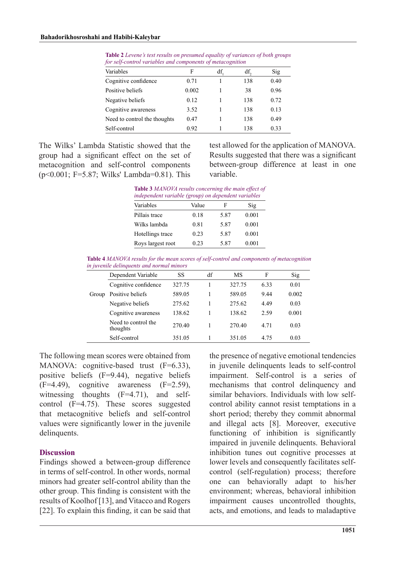| Variables                    | F     | df. | df. | Sig  |  |
|------------------------------|-------|-----|-----|------|--|
| Cognitive confidence         | 0.71  |     | 138 | 0.40 |  |
| Positive beliefs             | 0.002 |     | 38  | 0.96 |  |
| Negative beliefs             | 0.12  |     | 138 | 0.72 |  |
| Cognitive awareness          | 3.52  |     | 138 | 0.13 |  |
| Need to control the thoughts | 0.47  |     | 138 | 0.49 |  |
| Self-control                 | 0.92  |     | 138 | 0.33 |  |

Table 2 Levene's test results on presumed equality of variances of both groups for self-control variables and components of metacognition

The Wilks' Lambda Statistic showed that the group had a significant effect on the set of metacognition and self-control components  $(p<0.001; F=5.87; Wilks' Lambda=0.81)$ . This test allowed for the application of MANOVA. Results suggested that there was a significant between-group difference at least in one .variable

| Table 3 MANOVA results concerning the main effect of<br>independent variable (group) on dependent variables |       |      |       |  |
|-------------------------------------------------------------------------------------------------------------|-------|------|-------|--|
| Variables                                                                                                   | Value | F    | Sig   |  |
| Pillais trace                                                                                               | 0.18  | 5.87 | 0.001 |  |
| Wilks lambda                                                                                                | 0.81  | 5.87 | 0.001 |  |
| Hotellings trace                                                                                            | 0.23  | 5.87 | 0.001 |  |
| Roys largest root                                                                                           | 0.23  | 5.87 | 0.001 |  |

Table 4 MANOVA results for the mean scores of self-control and components of metacognition in juvenile delinquents and normal minors

|       | Dependent Variable              | SS     | df | МS     | F    | Sig   |
|-------|---------------------------------|--------|----|--------|------|-------|
|       | Cognitive confidence            | 327.75 |    | 327.75 | 6.33 | 0.01  |
| Group | Positive beliefs                | 589.05 |    | 589.05 | 9.44 | 0.002 |
|       | Negative beliefs                | 275.62 |    | 275.62 | 4.49 | 0.03  |
|       | Cognitive awareness             | 138.62 |    | 138.62 | 2.59 | 0.001 |
|       | Need to control the<br>thoughts | 270.40 |    | 270.40 | 4.71 | 0.03  |
|       | Self-control                    | 351.05 |    | 351.05 | 4.75 | 0.03  |

The following mean scores were obtained from MANOVA: cognitive-based trust  $(F=6.33)$ , positive beliefs  $(F=9.44)$ , negative beliefs  $(F=4.49)$ , cognitive awareness  $(F=2.59)$ , control  $(F=4.75)$ . These scores suggested witnessing thoughts  $(F=4.71)$ , and selfthat metacognitive beliefs and self-control values were significantly lower in the juvenile delinquents.

#### **Discussion**

Findings showed a between-group difference in terms of self-control. In other words, normal minors had greater self-control ability than the other group. This finding is consistent with the results of Koolhof [13], and Vitacco and Rogers [22]. To explain this finding, it can be said that the presence of negative emotional tendencies in juvenile delinquents leads to self-control impairment. Self-control is a series of mechanisms that control delinquency and control ability cannot resist temptations in a similar behaviors Individuals with low selfshort period; thereby they commit abnormal and illegal acts [8]. Moreover, executive functioning of inhibition is significantly impaired in juvenile delinquents. Behavioral inhibition tunes out cognitive processes at control (self-regulation) process; therefore lower levels and consequently facilitates selfone can behaviorally adapt to his/her environment: whereas, behavioral inhibition impairment causes uncontrolled thoughts, acts, and emotions, and leads to maladaptive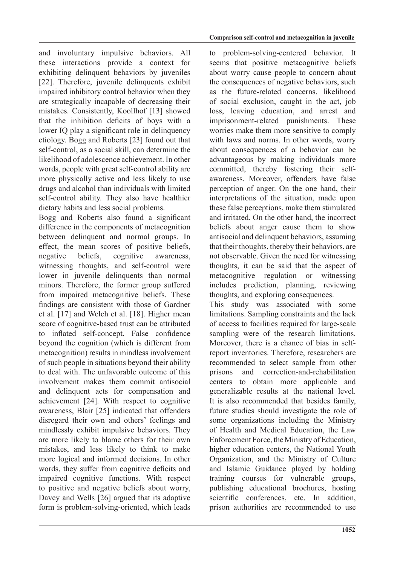and involuntary impulsive behaviors. All these interactions provide a context for exhibiting delinquent behaviors by juveniles  $[22]$ . Therefore, juvenile delinquents exhibit impaired inhibitory control behavior when they are strategically incapable of decreasing their mistakes. Consistently, Koollhof [13] showed that the inhibition deficits of boys with a lower IO play a significant role in delinquency etiology. Bogg and Roberts [23] found out that self-control, as a social skill, can determine the likelihood of adolescence achievement. In other words, people with great self-control ability are more physically active and less likely to use drugs and alcohol than individuals with limited self-control ability. They also have healthier dietary habits and less social problems.

Bogg and Roberts also found a significant difference in the components of metacognition between delinquent and normal groups. In effect, the mean scores of positive beliefs, negative beliefs, cognitive awareness, witnessing thoughts, and self-control were lower in juvenile delinquents than normal minors. Therefore, the former group suffered from impaired metacognitive beliefs. These findings are consistent with those of Gardner et al. [17] and Welch et al. [18]. Higher mean score of cognitive-based trust can be attributed to inflated self-concept. False confidence beyond the cognition (which is different from metacognition) results in mindless involvement of such people in situations beyond their ability to deal with. The unfavorable outcome of this involvement makes them commit antisocial and delinquent acts for compensation and achievement  $[24]$ . With respect to cognitive awareness, Blair [25] indicated that offenders disregard their own and others' feelings and mindlessly exhibit impulsive behaviors. They are more likely to blame others for their own mistakes, and less likely to think to make more logical and informed decisions. In other words, they suffer from cognitive deficits and impaired cognitive functions. With respect to positive and negative beliefs about worry, Davey and Wells [26] argued that its adaptive form is problem-solving-oriented, which leads to problem-solving-centered behavior. It seems that positive metacognitive beliefs about worry cause people to concern about the consequences of negative behaviors, such as the future-related concerns, likelihood of social exclusion, caught in the act, job loss, leaving education, and arrest and imprisonment-related punishments. These worries make them more sensitive to comply with laws and norms. In other words, worry about consequences of a behavior can be advantageous by making individuals more awareness. Moreover, offenders have false committed, thereby fostering their selfperception of anger. On the one hand, their interpretations of the situation, made upon these false perceptions, make them stimulated and irritated. On the other hand, the incorrect beliefs about anger cause them to show antisocial and delinquent behaviors, assuming that their thoughts, thereby their behaviors, are not observable. Given the need for witnessing thoughts, it can be said that the aspect of metacognitive regulation or witnessing includes prediction, planning, reviewing thoughts, and exploring consequences.

This study was associated with some limitations. Sampling constraints and the lack of access to facilities required for large-scale sampling were of the research limitations. report inventories. Therefore, researchers are Moreover, there is a chance of bias in selfrecommended to select sample from other prisons and correction-and-rehabilitation centers to obtain more applicable and generalizable results at the national level. It is also recommended that besides family. future studies should investigate the role of some organizations including the Ministry of Health and Medical Education, the Law Enforcement Force, the Ministry of Education, higher education centers, the National Youth Organization, and the Ministry of Culture and Islamic Guidance played by holding training courses for vulnerable groups, publishing educational brochures, hosting scientific conferences, etc. In addition, prison authorities are recommended to use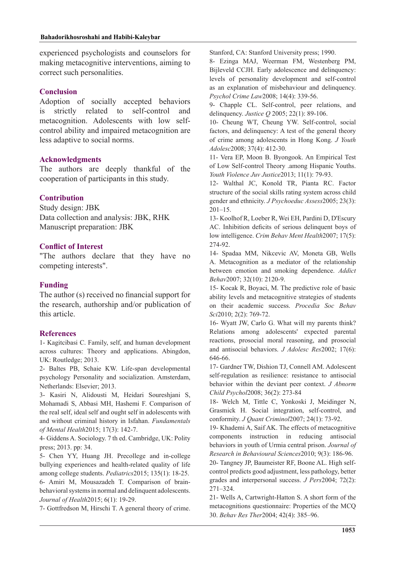experienced psychologists and counselors for making metacognitive interventions, aiming to correct such personalities.

## **Conclusion**

Adoption of socially accepted behaviors strictly related to self-control and control ability and impaired metacognition are metacognition. Adolescents with low selfless adaptive to social norms.

### **Acknowledgments**

The authors are deeply thankful of the cooperation of participants in this study.

### **Contribution**

Study design: JBK Data collection and analysis: JBK, RHK Manuscript preparation: JBK

### **Conflict of Interest**

"The authors declare that they have no competing interests".

## **Funding**

The author  $(s)$  received no financial support for the research, authorship and/or publication of this article

## **References**

1- Kagitcibasi C. Family, self, and human development across cultures: Theory and applications. Abingdon, UK: Routledge; 2013.

2- Baltes PB, Schaie KW. Life-span-developmental psychology Personality and socialization. Amsterdam, Netherlands: Elsevier; 2013.

3- Kasiri N, Alidousti M, Heidari Soureshjani S, Mohamadi S, Abbasi MH, Hashemi F. Comparison of the real self, ideal self and ought self in adolescents with and without criminal history in Isfahan. Fundamentals of Mental Health 2015; 17(3): 142-7.

4- Giddens A. Sociology. 7 th ed. Cambridge, UK: Polity press; 2013. pp: 34.

5- Chen YY, Huang JH. Precollege and in-college bullying experiences and health-related quality of life among college students. Pediatrics 2015; 135(1): 18-25.

behavioral systems in normal and delinquent adolescents. 6- Amiri M, Mousazadeh T. Comparison of brain-Journal of Health 2015; 6(1): 19-29.

7- Gottfredson M, Hirschi T. A general theory of crime.

Stanford, CA: Stanford University press; 1990.

8- Ezinga MAJ, Weerman FM, Westenberg PM, Bijleveld CCJH. Early adolescence and delinquency: levels of personality development and self-control as an explanation of misbehaviour and delinquency. Psychol Crime Law 2008; 14(4): 339-56.

9- Chapple CL. Self-control, peer relations, and delinquency. *Justice Q* 2005; 22(1): 89-106.

10- Cheung WT, Cheung YW, Self-control, social factors, and delinquency: A test of the general theory of crime among adolescents in Hong Kong. *J Youth* Adolesc2008; 37(4): 412-30.

11- Vera EP, Moon B. Byongook. An Empirical Test of Low Self-control Theory among Hispanic Youths. Youth Violence Juv Justice 2013; 11(1): 79-93.

12- Walthal JC, Konold TR, Pianta RC. Factor structure of the social skills rating system across child gender and ethnicity. *J Psychoeduc Assess2005*; 23(3):  $201 - 15$ .

13- Koolhof R, Loeber R, Wei EH, Pardini D, D'Escury AC. Inhibition deficits of serious delinquent boys of low intelligence. Crim Behav Ment Health 2007; 17(5): 274-92.

14- Spadaa MM, Nikcevic AV, Moneta GB, Wells A. Metacognition as a mediator of the relationship between emotion and smoking dependence. Addict Behav2007; 32(10): 2120-9.

15- Kocak R, Boyaci, M. The predictive role of basic ability levels and metacognitive strategies of students on their academic success. *Procedia Soc Behav* Sci2010; 2(2): 769-72.

16- Wyatt JW, Carlo G. What will my parents think? Relations among adolescents' expected parental reactions, prosocial moral reasoning, and prosocial and antisocial behaviors. *J Adolesc Res* 2002; 17(6): 646-66.

17- Gardner TW, Dishion TJ, Connell AM. Adolescent self-regulation as resilience: resistance to antisocial behavior within the deviant peer context. *J Abnorm* Child Psychol<sup>2008</sup>; 36(2): 273-84

18- Welch M, Tittle C, Yonkoski J, Meidinger N, Grasmick H. Social integration, self-control, and conformity. *J Quant Criminol* 2007; 24(1): 73-92.

19- Khademi A, Saif AK. The effects of metacognitive components instruction in reducing antisocial behaviors in youth of Urmia central prison. Journal of Research in Behavioural Sciences 2010; 9(3): 186-96.

20- Tangney JP, Baumeister RF, Boone AL. High self-<br>control predicts good adjustment, less pathology, better grades and interpersonal success. *J Pers* 2004; 72(2): 271-324.

21- Wells A, Cartwright-Hatton S. A short form of the metacognitions questionnaire: Properties of the MCQ 30. Behav Res Ther 2004; 42(4): 385-96.